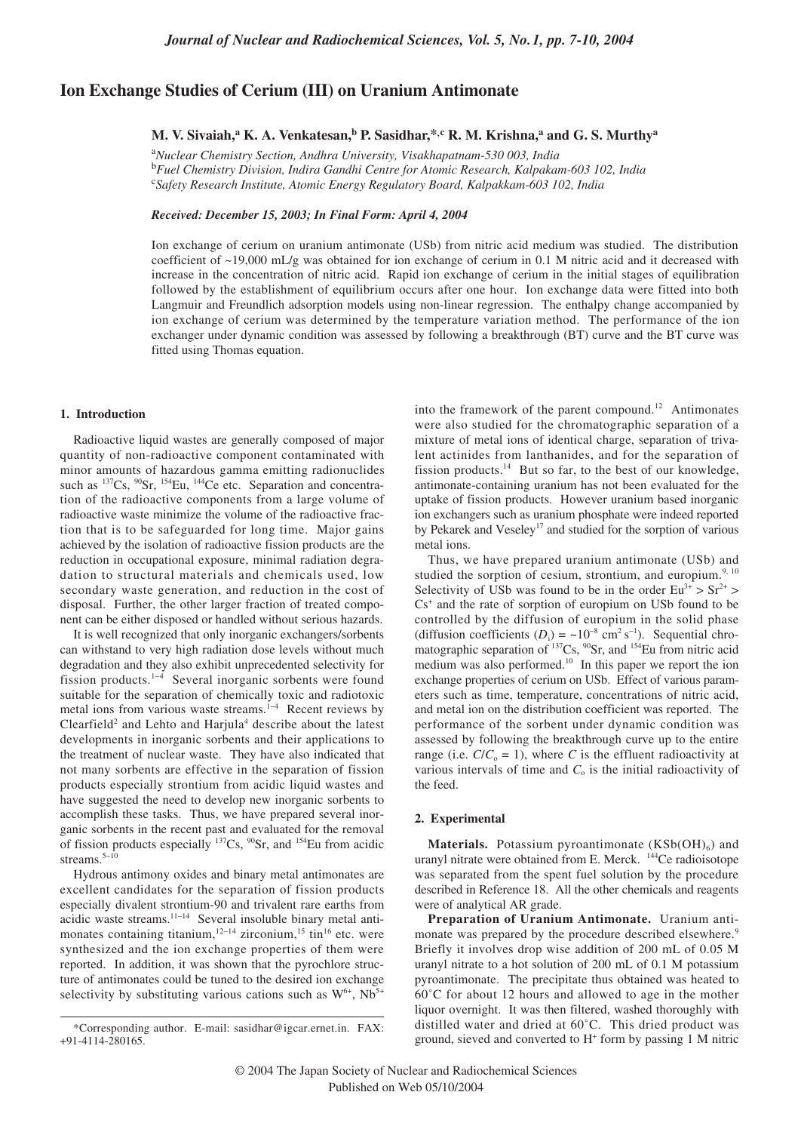# **Ion Exchange Studies of Cerium (III) on Uranium Antimonate**

**M. V. Sivaiah,a K. A. Venkatesan,b P. Sasidhar,\*,c R. M. Krishna,<sup>a</sup> and G. S. Murthya**

a *Nuclear Chemistry Section, Andhra University, Visakhapatnam-530 003, India* b *Fuel Chemistry Division, Indira Gandhi Centre for Atomic Research, Kalpakam-603 102, India* c *Safety Research Institute, Atomic Energy Regulatory Board, Kalpakkam-603 102, India*

*Received: December 15, 2003; In Final Form: April 4, 2004*

Ion exchange of cerium on uranium antimonate (USb) from nitric acid medium was studied. The distribution coefficient of ~19,000 mL/g was obtained for ion exchange of cerium in 0.1 M nitric acid and it decreased with increase in the concentration of nitric acid. Rapid ion exchange of cerium in the initial stages of equilibration followed by the establishment of equilibrium occurs after one hour. Ion exchange data were fitted into both Langmuir and Freundlich adsorption models using non-linear regression. The enthalpy change accompanied by ion exchange of cerium was determined by the temperature variation method. The performance of the ion exchanger under dynamic condition was assessed by following a breakthrough (BT) curve and the BT curve was fitted using Thomas equation.

### **1. Introduction**

Radioactive liquid wastes are generally composed of major quantity of non-radioactive component contaminated with minor amounts of hazardous gamma emitting radionuclides such as <sup>137</sup>Cs, <sup>90</sup>Sr, <sup>154</sup>Eu, <sup>144</sup>Ce etc. Separation and concentration of the radioactive components from a large volume of radioactive waste minimize the volume of the radioactive fraction that is to be safeguarded for long time. Major gains achieved by the isolation of radioactive fission products are the reduction in occupational exposure, minimal radiation degradation to structural materials and chemicals used, low secondary waste generation, and reduction in the cost of disposal. Further, the other larger fraction of treated component can be either disposed or handled without serious hazards.

It is well recognized that only inorganic exchangers/sorbents can withstand to very high radiation dose levels without much degradation and they also exhibit unprecedented selectivity for fission products.1<sup>−</sup><sup>4</sup> Several inorganic sorbents were found suitable for the separation of chemically toxic and radiotoxic metal ions from various waste streams.<sup>1−4</sup> Recent reviews by  $Clearfield<sup>2</sup>$  and Lehto and Harjula<sup>4</sup> describe about the latest developments in inorganic sorbents and their applications to the treatment of nuclear waste. They have also indicated that not many sorbents are effective in the separation of fission products especially strontium from acidic liquid wastes and have suggested the need to develop new inorganic sorbents to accomplish these tasks. Thus, we have prepared several inorganic sorbents in the recent past and evaluated for the removal of fission products especially  $137Cs$ ,  $90Sr$ , and  $154Eu$  from acidic streams.<sup>5−10</sup>

Hydrous antimony oxides and binary metal antimonates are excellent candidates for the separation of fission products especially divalent strontium-90 and trivalent rare earths from acidic waste streams.11−1<sup>4</sup> Several insoluble binary metal antimonates containing titanium,<sup>12−14</sup> zirconium,<sup>15</sup> tin<sup>16</sup> etc. were synthesized and the ion exchange properties of them were reported. In addition, it was shown that the pyrochlore structure of antimonates could be tuned to the desired ion exchange selectivity by substituting various cations such as  $W^{6+}$ , Nb<sup>5+</sup>

into the framework of the parent compound.<sup>12</sup> Antimonates were also studied for the chromatographic separation of a mixture of metal ions of identical charge, separation of trivalent actinides from lanthanides, and for the separation of fission products. $14$  But so far, to the best of our knowledge, antimonate-containing uranium has not been evaluated for the uptake of fission products. However uranium based inorganic ion exchangers such as uranium phosphate were indeed reported by Pekarek and Veseley<sup>17</sup> and studied for the sorption of various metal ions.

Thus, we have prepared uranium antimonate (USb) and studied the sorption of cesium, strontium, and europium. $9,10$ Selectivity of USb was found to be in the order  $Eu^{3+} > Sr^{2+} >$  $Cs<sup>+</sup>$  and the rate of sorption of europium on USb found to be controlled by the diffusion of europium in the solid phase (diffusion coefficients  $(D_i) = \sim 10^{-8}$  cm<sup>2</sup> s<sup>-1</sup>). Sequential chromatographic separation of  $^{137}Cs$ ,  $^{90}Sr$ , and  $^{154}Eu$  from nitric acid medium was also performed.<sup>10</sup> In this paper we report the ion exchange properties of cerium on USb. Effect of various parameters such as time, temperature, concentrations of nitric acid, and metal ion on the distribution coefficient was reported. The performance of the sorbent under dynamic condition was assessed by following the breakthrough curve up to the entire range (i.e.  $C/C_0 = 1$ ), where *C* is the effluent radioactivity at various intervals of time and  $C_0$  is the initial radioactivity of the feed.

### **2. Experimental**

**Materials.** Potassium pyroantimonate  $(KSb(OH)_{6})$  and uranyl nitrate were obtained from E. Merck. <sup>144</sup>Ce radioisotope was separated from the spent fuel solution by the procedure described in Reference 18. All the other chemicals and reagents were of analytical AR grade.

**Preparation of Uranium Antimonate.** Uranium antimonate was prepared by the procedure described elsewhere.<sup>9</sup> Briefly it involves drop wise addition of 200 mL of 0.05 M uranyl nitrate to a hot solution of 200 mL of 0.1 M potassium pyroantimonate. The precipitate thus obtained was heated to 60˚C for about 12 hours and allowed to age in the mother liquor overnight. It was then filtered, washed thoroughly with distilled water and dried at 60˚C. This dried product was ground, sieved and converted to  $H^+$  form by passing 1 M nitric

<sup>\*</sup>Corresponding author. E-mail: sasidhar@igcar.ernet.in. FAX: +91-4114-280165.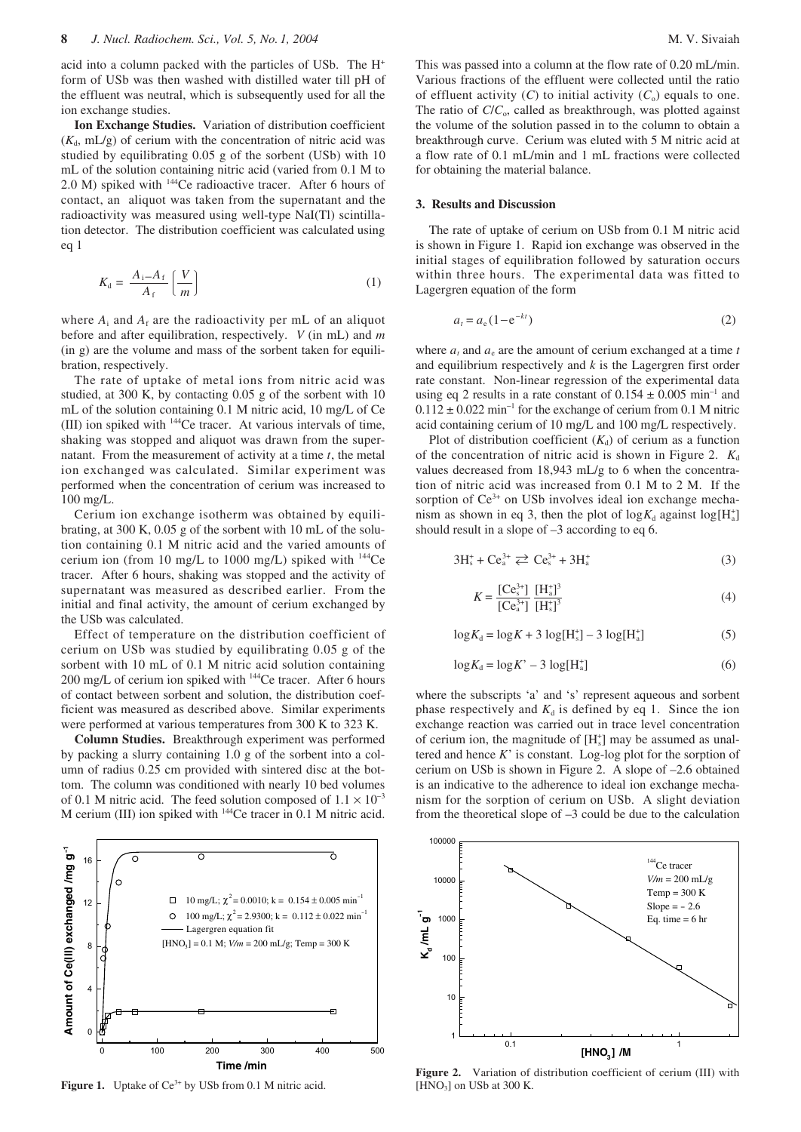acid into a column packed with the particles of USb. The H+ form of USb was then washed with distilled water till pH of the effluent was neutral, which is subsequently used for all the ion exchange studies.

**Ion Exchange Studies.** Variation of distribution coefficient  $(K<sub>d</sub>, mL/g)$  of cerium with the concentration of nitric acid was studied by equilibrating 0.05 g of the sorbent (USb) with 10 mL of the solution containing nitric acid (varied from 0.1 M to 2.0 M) spiked with 144Ce radioactive tracer. After 6 hours of contact, an aliquot was taken from the supernatant and the radioactivity was measured using well-type NaI(Tl) scintillation detector. The distribution coefficient was calculated using eq 1

$$
K_{\rm d} = \frac{A_{\rm i} - A_{\rm f}}{A_{\rm f}} \left(\frac{V}{m}\right) \tag{1}
$$

where  $A_i$  and  $A_f$  are the radioactivity per mL of an aliquot before and after equilibration, respectively. *V* (in mL) and *m* (in g) are the volume and mass of the sorbent taken for equilibration, respectively.

The rate of uptake of metal ions from nitric acid was studied, at 300 K, by contacting 0.05 g of the sorbent with 10 mL of the solution containing 0.1 M nitric acid, 10 mg/L of Ce (III) ion spiked with 144Ce tracer. At various intervals of time, shaking was stopped and aliquot was drawn from the supernatant. From the measurement of activity at a time *t*, the metal ion exchanged was calculated. Similar experiment was performed when the concentration of cerium was increased to 100 mg/L.

Cerium ion exchange isotherm was obtained by equilibrating, at 300 K, 0.05 g of the sorbent with 10 mL of the solution containing 0.1 M nitric acid and the varied amounts of cerium ion (from 10 mg/L to 1000 mg/L) spiked with  $144$ Ce tracer. After 6 hours, shaking was stopped and the activity of supernatant was measured as described earlier. From the initial and final activity, the amount of cerium exchanged by the USb was calculated.

Effect of temperature on the distribution coefficient of cerium on USb was studied by equilibrating 0.05 g of the sorbent with 10 mL of 0.1 M nitric acid solution containing 200 mg/L of cerium ion spiked with <sup>144</sup>Ce tracer. After 6 hours of contact between sorbent and solution, the distribution coefficient was measured as described above. Similar experiments were performed at various temperatures from 300 K to 323 K.

**Column Studies.** Breakthrough experiment was performed by packing a slurry containing 1.0 g of the sorbent into a column of radius 0.25 cm provided with sintered disc at the bottom. The column was conditioned with nearly 10 bed volumes of 0.1 M nitric acid. The feed solution composed of  $1.1 \times 10^{-3}$ M cerium (III) ion spiked with 144Ce tracer in 0.1 M nitric acid.



Figure 1. Uptake of Ce<sup>3+</sup> by USb from 0.1 M nitric acid.

This was passed into a column at the flow rate of 0.20 mL/min. Various fractions of the effluent were collected until the ratio of effluent activity  $(C)$  to initial activity  $(C_0)$  equals to one. The ratio of *C*/*C*<sub>o</sub>, called as breakthrough, was plotted against the volume of the solution passed in to the column to obtain a breakthrough curve. Cerium was eluted with 5 M nitric acid at a flow rate of 0.1 mL/min and 1 mL fractions were collected for obtaining the material balance.

### **3. Results and Discussion**

The rate of uptake of cerium on USb from 0.1 M nitric acid is shown in Figure 1. Rapid ion exchange was observed in the initial stages of equilibration followed by saturation occurs within three hours. The experimental data was fitted to Lagergren equation of the form

$$
a_t = a_e (1 - e^{-kt})
$$
 (2)

where  $a_t$  and  $a_e$  are the amount of cerium exchanged at a time  $t$ and equilibrium respectively and *k* is the Lagergren first order rate constant. Non-linear regression of the experimental data using eq 2 results in a rate constant of  $0.154 \pm 0.005$  min<sup>-1</sup> and  $0.112 \pm 0.022$  min<sup>-1</sup> for the exchange of cerium from 0.1 M nitric acid containing cerium of 10 mg/L and 100 mg/L respectively.

Plot of distribution coefficient  $(K_d)$  of cerium as a function of the concentration of nitric acid is shown in Figure 2.  $K_d$ values decreased from 18,943 mL/g to 6 when the concentration of nitric acid was increased from 0.1 M to 2 M. If the sorption of  $Ce^{3+}$  on USb involves ideal ion exchange mechanism as shown in eq 3, then the plot of  $log K_d$  against  $log[H_a^+]$ should result in a slope of –3 according to eq 6.

$$
3H_s^+ + Ce_a^{3+} \rightleftarrows Ce_s^{3+} + 3H_a^+ \tag{3}
$$

$$
K = \frac{[Ce_3^{3+}]}{[Ce_4^{3+}]} \frac{[H_a^+]^3}{[H_s^+]^3}
$$
 (4)

$$
\log K_{\rm d} = \log K + 3 \log [\rm{H}_{\rm s}^+] - 3 \log [\rm{H}_{\rm a}^+]
$$
 (5)

$$
\log K_{\rm d} = \log K^{\prime} - 3 \log [\rm{H}_{\rm a}^{\rm +}] \tag{6}
$$

where the subscripts 'a' and 's' represent aqueous and sorbent phase respectively and  $K_d$  is defined by eq 1. Since the ion exchange reaction was carried out in trace level concentration of cerium ion, the magnitude of  $[H_s^+]$  may be assumed as unaltered and hence *K*' is constant. Log-log plot for the sorption of cerium on USb is shown in Figure 2. A slope of –2.6 obtained is an indicative to the adherence to ideal ion exchange mechanism for the sorption of cerium on USb. A slight deviation from the theoretical slope of –3 could be due to the calculation



**Figure 2.** Variation of distribution coefficient of cerium (III) with  $[HNO<sub>3</sub>]$  on USb at 300 K.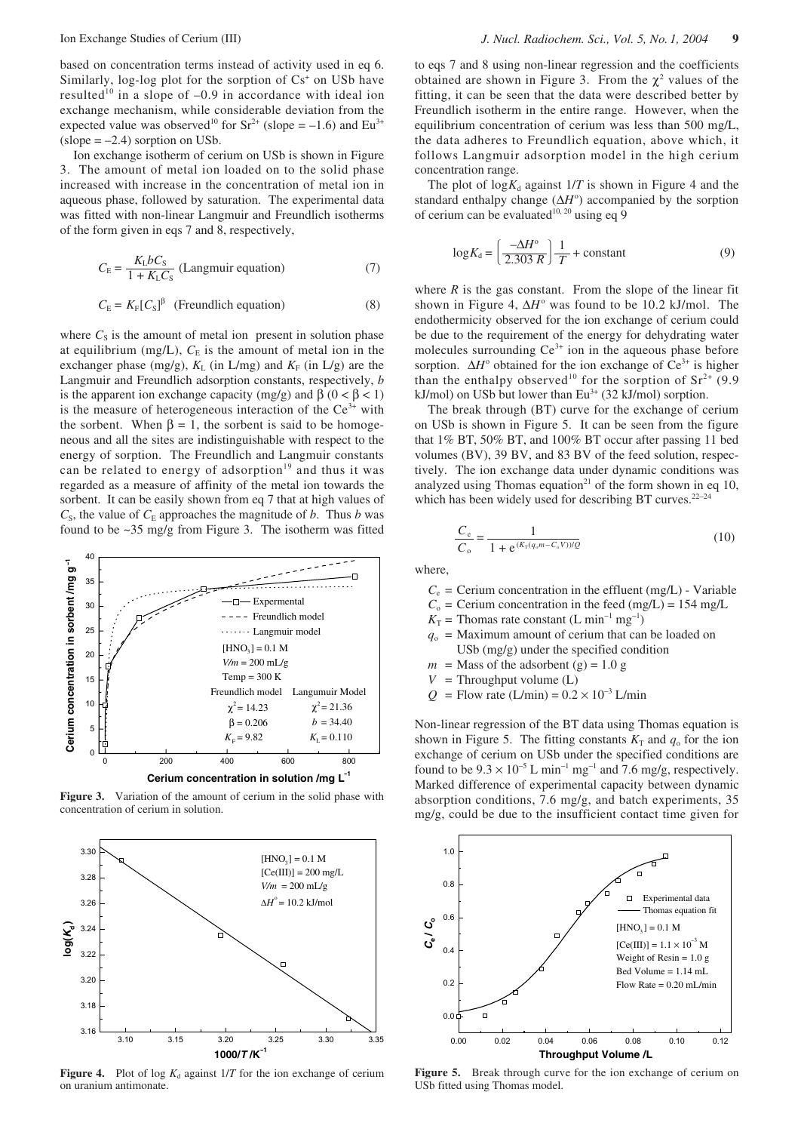based on concentration terms instead of activity used in eq 6. Similarly, log-log plot for the sorption of  $Cs^+$  on USb have resulted<sup>10</sup> in a slope of  $-0.9$  in accordance with ideal ion exchange mechanism, while considerable deviation from the expected value was observed<sup>10</sup> for  $Sr^{2+}$  (slope = –1.6) and Eu<sup>3+</sup>  $(slope = -2.4)$  sorption on USb.

Ion exchange isotherm of cerium on USb is shown in Figure 3. The amount of metal ion loaded on to the solid phase increased with increase in the concentration of metal ion in aqueous phase, followed by saturation. The experimental data was fitted with non-linear Langmuir and Freundlich isotherms of the form given in eqs 7 and 8, respectively,

$$
C_{\rm E} = \frac{K_{\rm L}bC_{\rm S}}{1 + K_{\rm L}C_{\rm S}} \text{ (Langmuir equation)} \tag{7}
$$

$$
C_{\rm E} = K_{\rm F} [C_{\rm S}]^{\beta} \quad \text{(Freundlich equation)} \tag{8}
$$

where  $C_S$  is the amount of metal ion present in solution phase at equilibrium (mg/L),  $C_E$  is the amount of metal ion in the exchanger phase (mg/g),  $K<sub>L</sub>$  (in L/mg) and  $K<sub>F</sub>$  (in L/g) are the Langmuir and Freundlich adsorption constants, respectively, *b* is the apparent ion exchange capacity (mg/g) and  $β$  (0 <  $β$  < 1) is the measure of heterogeneous interaction of the  $Ce^{3+}$  with the sorbent. When  $\beta = 1$ , the sorbent is said to be homogeneous and all the sites are indistinguishable with respect to the energy of sorption. The Freundlich and Langmuir constants can be related to energy of adsorption<sup>19</sup> and thus it was regarded as a measure of affinity of the metal ion towards the sorbent. It can be easily shown from eq 7 that at high values of  $C_s$ , the value of  $C_E$  approaches the magnitude of *b*. Thus *b* was found to be ~35 mg/g from Figure 3. The isotherm was fitted



Figure 3. Variation of the amount of cerium in the solid phase with concentration of cerium in solution.



**Figure 4.** Plot of log  $K_d$  against  $1/T$  for the ion exchange of cerium on uranium antimonate.

to eqs 7 and 8 using non-linear regression and the coefficients obtained are shown in Figure 3. From the  $\chi^2$  values of the fitting, it can be seen that the data were described better by Freundlich isotherm in the entire range. However, when the equilibrium concentration of cerium was less than 500 mg/L, the data adheres to Freundlich equation, above which, it follows Langmuir adsorption model in the high cerium concentration range.

The plot of  $log K_d$  against  $1/T$  is shown in Figure 4 and the standard enthalpy change  $(\Delta H^{\circ})$  accompanied by the sorption of cerium can be evaluated<sup>10, 20</sup> using eq 9

$$
\log K_{\rm d} = \left(\frac{-\Delta H^{\rm o}}{2.303 \, R}\right) \frac{1}{T} + \text{constant} \tag{9}
$$

where  $R$  is the gas constant. From the slope of the linear fit shown in Figure 4, ∆*H*<sup>o</sup> was found to be 10.2 kJ/mol. The endothermicity observed for the ion exchange of cerium could be due to the requirement of the energy for dehydrating water molecules surrounding  $Ce^{3+}$  ion in the aqueous phase before sorption. ∆*H*<sup>o</sup> obtained for the ion exchange of Ce<sup>3+</sup> is higher than the enthalpy observed<sup>10</sup> for the sorption of  $Sr^{2+}$  (9.9) kJ/mol) on USb but lower than  $Eu^{3+}$  (32 kJ/mol) sorption.  $\frac{1}{2}$  =  $\frac{1}{2}$  =  $\frac{1}{2}$  =  $\frac{1}{2}$  =  $\frac{1}{2}$  =  $\frac{1}{2}$  =  $\frac{1}{2}$  =  $\frac{1}{2}$  =  $\frac{1}{2}$  =  $\frac{1}{2}$  =  $\frac{1}{2}$  =  $\frac{1}{2}$  =  $\frac{1}{2}$  =  $\frac{1}{2}$  =  $\frac{1}{2}$  =  $\frac{1}{2}$  =  $\frac{1}{2}$  =  $\frac{1}{2}$  =  $\frac{1$ 

The break through (BT) curve for the exchange of cerium on USb is shown in Figure 5. It can be seen from the figure that 1% BT, 50% BT, and 100% BT occur after passing 11 bed volumes (BV), 39 BV, and 83 BV of the feed solution, respectively. The ion exchange data under dynamic conditions was analyzed using Thomas equation<sup>21</sup> of the form shown in eq 10, which has been widely used for describing BT curves.<sup>22−24</sup>

$$
\frac{C_e}{C_o} = \frac{1}{1 + e^{(K_{\text{T}}(q_o m - C_o V))/Q}}
$$
(10)

where,

- $C_e$  = Cerium concentration in the effluent (mg/L) Variable
- $C_0$  = Cerium concentration in the feed (mg/L) = 154 mg/L
- $K_T$  = Thomas rate constant (L min<sup>-1</sup> mg<sup>-1</sup>)
- $q_0$  = Maximum amount of cerium that can be loaded on USb (mg/g) under the specified condition
- $m =$  Mass of the adsorbent (g) = 1.0 g
- $V =$ Throughput volume (L)
- $Q =$  Flow rate (L/min) =  $0.2 \times 10^{-3}$  L/min

Non-linear regression of the BT data using Thomas equation is shown in Figure 5. The fitting constants  $K<sub>T</sub>$  and  $q<sub>o</sub>$  for the ion exchange of cerium on USb under the specified conditions are found to be  $9.3 \times 10^{-5}$  L min<sup>-1</sup> mg<sup>-1</sup> and 7.6 mg/g, respectively. Marked difference of experimental capacity between dynamic absorption conditions, 7.6 mg/g, and batch experiments, 35 mg/g, could be due to the insufficient contact time given for



**Figure 5.** Break through curve for the ion exchange of cerium on USb fitted using Thomas model.